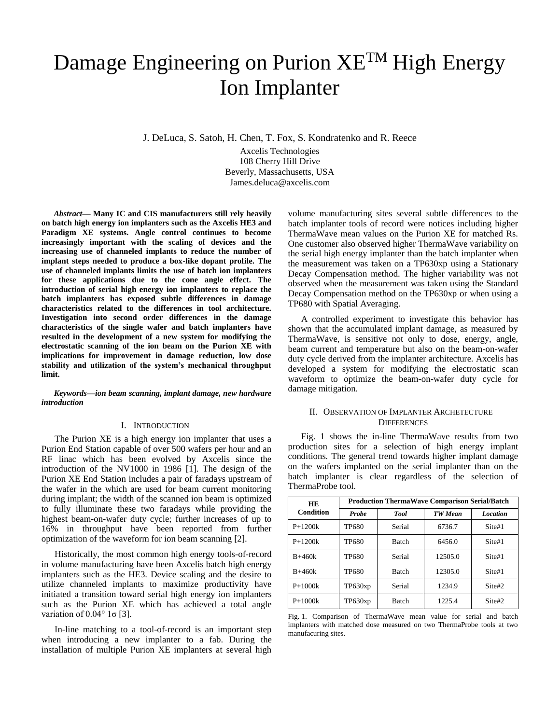# Damage Engineering on Purion XE<sup>TM</sup> High Energy Ion Implanter

J. DeLuca, S. Satoh, H. Chen, T. Fox, S. Kondratenko and R. Reece

Axcelis Technologies 108 Cherry Hill Drive Beverly, Massachusetts, USA James.deluca@axcelis.com

*Abstract***— Many IC and CIS manufacturers still rely heavily on batch high energy ion implanters such as the Axcelis HE3 and Paradigm XE systems. Angle control continues to become increasingly important with the scaling of devices and the increasing use of channeled implants to reduce the number of implant steps needed to produce a box-like dopant profile. The use of channeled implants limits the use of batch ion implanters for these applications due to the cone angle effect. The introduction of serial high energy ion implanters to replace the batch implanters has exposed subtle differences in damage characteristics related to the differences in tool architecture. Investigation into second order differences in the damage characteristics of the single wafer and batch implanters have resulted in the development of a new system for modifying the electrostatic scanning of the ion beam on the Purion XE with implications for improvement in damage reduction, low dose stability and utilization of the system's mechanical throughput limit.**

*Keywords—ion beam scanning, implant damage, new hardware introduction*

### I. INTRODUCTION

The Purion XE is a high energy ion implanter that uses a Purion End Station capable of over 500 wafers per hour and an RF linac which has been evolved by Axcelis since the introduction of the NV1000 in 1986 [1]. The design of the Purion XE End Station includes a pair of faradays upstream of the wafer in the which are used for beam current monitoring during implant; the width of the scanned ion beam is optimized to fully illuminate these two faradays while providing the highest beam-on-wafer duty cycle; further increases of up to 16% in throughput have been reported from further optimization of the waveform for ion beam scanning [2].

Historically, the most common high energy tools-of-record in volume manufacturing have been Axcelis batch high energy implanters such as the HE3. Device scaling and the desire to utilize channeled implants to maximize productivity have initiated a transition toward serial high energy ion implanters such as the Purion XE which has achieved a total angle variation of  $0.04^\circ$  1 $\sigma$  [3].

In-line matching to a tool-of-record is an important step when introducing a new implanter to a fab. During the installation of multiple Purion XE implanters at several high

volume manufacturing sites several subtle differences to the batch implanter tools of record were notices including higher ThermaWave mean values on the Purion XE for matched Rs. One customer also observed higher ThermaWave variability on the serial high energy implanter than the batch implanter when the measurement was taken on a TP630xp using a Stationary Decay Compensation method. The higher variability was not observed when the measurement was taken using the Standard Decay Compensation method on the TP630xp or when using a TP680 with Spatial Averaging.

A controlled experiment to investigate this behavior has shown that the accumulated implant damage, as measured by ThermaWave, is sensitive not only to dose, energy, angle, beam current and temperature but also on the beam-on-wafer duty cycle derived from the implanter architecture. Axcelis has developed a system for modifying the electrostatic scan waveform to optimize the beam-on-wafer duty cycle for damage mitigation.

## II. OBSERVATION OF IMPLANTER ARCHETECTURE **DIFFERENCES**

Fig. 1 shows the in-line ThermaWave results from two production sites for a selection of high energy implant conditions. The general trend towards higher implant damage on the wafers implanted on the serial implanter than on the batch implanter is clear regardless of the selection of ThermaProbe tool.

| <b>HE</b><br><b>Condition</b> | <b>Production ThermaWave Comparison Serial/Batch</b> |              |                |                 |  |
|-------------------------------|------------------------------------------------------|--------------|----------------|-----------------|--|
|                               | Probe                                                | <b>Tool</b>  | <b>TW</b> Mean | <b>Location</b> |  |
| $P+1200k$                     | TP680                                                | Serial       | 6736.7         | Site#1          |  |
| $P+1200k$                     | TP680                                                | <b>Batch</b> | 6456.0         | Site#1          |  |
| $B+460k$                      | TP680                                                | Serial       | 12505.0        | Site#1          |  |
| $B+460k$                      | TP680                                                | <b>Batch</b> | 12305.0        | Site#1          |  |
| $P+1000k$                     | TP630xp                                              | Serial       | 1234.9         | Site#2          |  |
| $P+1000k$                     | TP630xp                                              | <b>Batch</b> | 1225.4         | Site#2          |  |

Fig. 1. Comparison of ThermaWave mean value for serial and batch implanters with matched dose measured on two ThermaProbe tools at two manufacuring sites.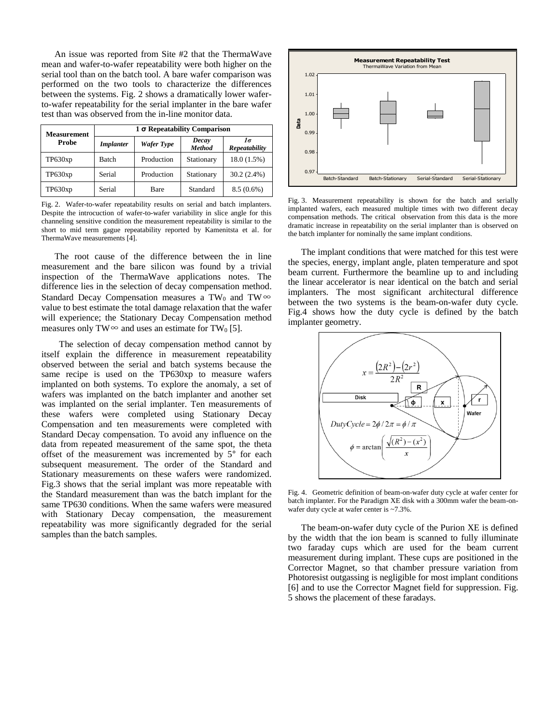An issue was reported from Site #2 that the ThermaWave mean and wafer-to-wafer repeatability were both higher on the serial tool than on the batch tool. A bare wafer comparison was performed on the two tools to characterize the differences between the systems. Fig. 2 shows a dramatically lower waferto-wafer repeatability for the serial implanter in the bare wafer test than was observed from the in-line monitor data.

| <b>Measurement</b><br>Probe | $1\sigma$ Repeatability Comparison |            |                        |                     |  |
|-----------------------------|------------------------------------|------------|------------------------|---------------------|--|
|                             | <b>Implanter</b>                   | Wafer Type | Decay<br><b>Method</b> | 1σ<br>Repeatability |  |
| TP630xp                     | <b>Batch</b>                       | Production | Stationary             | 18.0(1.5%)          |  |
| TP630xp                     | Serial                             | Production | Stationary             | $30.2(2.4\%)$       |  |
| TP630xp                     | Serial                             | Bare       | Standard               | $8.5(0.6\%)$        |  |

Fig. 2. Wafer-to-wafer repeatability results on serial and batch implanters. Despite the introcuction of wafer-to-wafer variability in slice angle for this channeling sensitive condition the measurement repeatability is similar to the short to mid term gague repeatability reported by Kamenitsta et al. for ThermaWave measurements [4].

The root cause of the difference between the in line measurement and the bare silicon was found by a trivial inspection of the ThermaWave applications notes. The difference lies in the selection of decay compensation method. Standard Decay Compensation measures a TW<sub>0</sub> and TW∞ value to best estimate the total damage relaxation that the wafer will experience; the Stationary Decay Compensation method measures only TW∞ and uses an estimate for TW<sub>0</sub> [5].

 The selection of decay compensation method cannot by itself explain the difference in measurement repeatability observed between the serial and batch systems because the same recipe is used on the TP630xp to measure wafers implanted on both systems. To explore the anomaly, a set of wafers was implanted on the batch implanter and another set was implanted on the serial implanter. Ten measurements of these wafers were completed using Stationary Decay Compensation and ten measurements were completed with Standard Decay compensation. To avoid any influence on the data from repeated measurement of the same spot, the theta offset of the measurement was incremented by 5° for each subsequent measurement. The order of the Standard and Stationary measurements on these wafers were randomized. Fig.3 shows that the serial implant was more repeatable with the Standard measurement than was the batch implant for the same TP630 conditions. When the same wafers were measured with Stationary Decay compensation, the measurement repeatability was more significantly degraded for the serial samples than the batch samples.



Fig. 3. Measurement repeatability is shown for the batch and serially implanted wafers, each measured multiple times with two different decay compensation methods. The critical observation from this data is the more dramatic increase in repeatability on the serial implanter than is observed on the batch implanter for nominally the same implant conditions.

The implant conditions that were matched for this test were the species, energy, implant angle, platen temperature and spot beam current. Furthermore the beamline up to and including the linear accelerator is near identical on the batch and serial implanters. The most significant architectural difference between the two systems is the beam-on-wafer duty cycle. Fig.4 shows how the duty cycle is defined by the batch implanter geometry.



Fig. 4. Geometric definition of beam-on-wafer duty cycle at wafer center for batch implanter. For the Paradigm XE disk with a 300mm wafer the beam-onwafer duty cycle at wafer center is ~7.3%.

The beam-on-wafer duty cycle of the Purion XE is defined by the width that the ion beam is scanned to fully illuminate two faraday cups which are used for the beam current measurement during implant. These cups are positioned in the Corrector Magnet, so that chamber pressure variation from Photoresist outgassing is negligible for most implant conditions [6] and to use the Corrector Magnet field for suppression. Fig. 5 shows the placement of these faradays.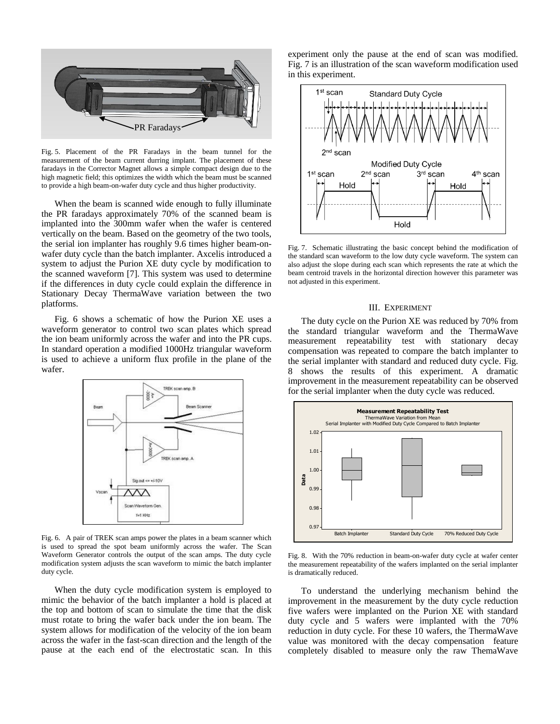

Fig. 5. Placement of the PR Faradays in the beam tunnel for the measurement of the beam current durring implant. The placement of these faradays in the Corrector Magnet allows a simple compact design due to the high magnetic field; this optimizes the width which the beam must be scanned to provide a high beam-on-wafer duty cycle and thus higher productivity.

When the beam is scanned wide enough to fully illuminate the PR faradays approximately 70% of the scanned beam is implanted into the 300mm wafer when the wafer is centered vertically on the beam. Based on the geometry of the two tools, the serial ion implanter has roughly 9.6 times higher beam-onwafer duty cycle than the batch implanter. Axcelis introduced a system to adjust the Purion XE duty cycle by modification to the scanned waveform [7]. This system was used to determine if the differences in duty cycle could explain the difference in Stationary Decay ThermaWave variation between the two platforms.

Fig. 6 shows a schematic of how the Purion XE uses a waveform generator to control two scan plates which spread the ion beam uniformly across the wafer and into the PR cups. In standard operation a modified 1000Hz triangular waveform is used to achieve a uniform flux profile in the plane of the wafer.



Fig. 6. A pair of TREK scan amps power the plates in a beam scanner which is used to spread the spot beam uniformly across the wafer. The Scan Waveform Generator controls the output of the scan amps. The duty cycle modification system adjusts the scan waveform to mimic the batch implanter duty cycle.

When the duty cycle modification system is employed to mimic the behavior of the batch implanter a hold is placed at the top and bottom of scan to simulate the time that the disk must rotate to bring the wafer back under the ion beam. The system allows for modification of the velocity of the ion beam across the wafer in the fast-scan direction and the length of the pause at the each end of the electrostatic scan. In this experiment only the pause at the end of scan was modified. Fig. 7 is an illustration of the scan waveform modification used in this experiment.



Fig. 7. Schematic illustrating the basic concept behind the modification of the standard scan waveform to the low duty cycle waveform. The system can also adjust the slope during each scan which represents the rate at which the beam centroid travels in the horizontal direction however this parameter was not adjusted in this experiment.

#### III. EXPERIMENT

The duty cycle on the Purion XE was reduced by 70% from the standard triangular waveform and the ThermaWave measurement repeatability test with stationary decay compensation was repeated to compare the batch implanter to the serial implanter with standard and reduced duty cycle. Fig. 8 shows the results of this experiment. A dramatic improvement in the measurement repeatability can be observed for the serial implanter when the duty cycle was reduced.



Fig. 8. With the 70% reduction in beam-on-wafer duty cycle at wafer center the measurement repeatability of the wafers implanted on the serial implanter is dramatically reduced.

To understand the underlying mechanism behind the improvement in the measurement by the duty cycle reduction five wafers were implanted on the Purion XE with standard duty cycle and 5 wafers were implanted with the 70% reduction in duty cycle. For these 10 wafers, the ThermaWave value was monitored with the decay compensation feature completely disabled to measure only the raw ThemaWave